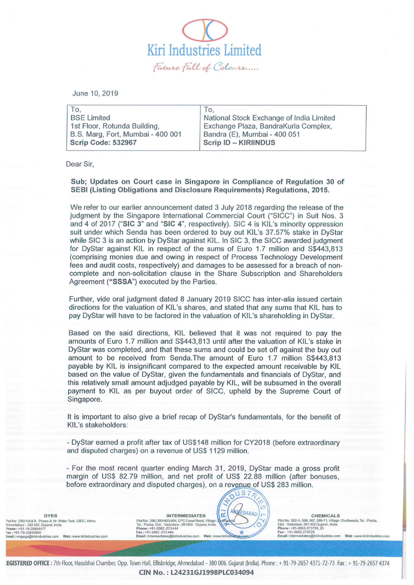$\overline{\mathcal{D}}$ Kiri Industries Limited<br>- *future full of Colours* 

June 10, 2019

| To.                               | To.                                      |
|-----------------------------------|------------------------------------------|
| <b>BSE Limited</b>                | National Stock Exchange of India Limited |
| 1st Floor, Rotunda Building,      | Exchange Plaza, BandraKurla Complex,     |
| B.S. Marg, Fort, Mumbai - 400 001 | Bandra (E), Mumbai - 400 051             |
| Scrip Code: 532967                | <b>Scrip ID - KIRIINDUS</b>              |
|                                   |                                          |

Dear Sir,

Sub; Updates on Court case in Singapore in Compliance of Regulation 30 of SEBI (Listing Obligations and Disclosure Requirements) Regulations, 2015.

We refer to our earlier announcement dated 3 July 2018 regarding the release of the judgment by the Singapore International Commercial Court ("SICC") in Suit Nos. 3 and 4 of 2017 ("SIC 3" and "SIC 4", respectively). SIC 4 is KIL's minority oppression suit under which Senda has been ordered to buyout KIL's 37.57% stake in DyStar while SIC 3 is an action by DyStar against KIL. In SIC 3, the SICC awarded judgment for DyStar against KIL in respect of the sums of Euro 1.7 million and S\$443,813 (comprising monies due and owing in respect of Process Technology Development fees and audit costs, respectively) and damages to be assessed for a breach of noncomplete and non-solicitation clause in the Share Subscription and Shareholders Agreement ("SSSA") executed by the Parties.

Further, vide oral judgment dated 8 January 2019 SICC has inter-alia issued certain directions for the valuation of KIL's shares, and stated that any sums that KIL has to pay DyStar will have to be factored in the valuation of KIL's shareholding in DyStar.

Based on the said directions, KIL believed that it was not required to pay the amounts of Euro 1.7 million and S\$443,813 until after the valuation of KIL's stake in DyStar was completed, and that these sums and could be set off against the buy out amount to be received from Senda.The amount of Euro 1.7 million S\$443,813 payable by KIL is insignificant compared to the expected amount receivable by KIL based on the value of DyStar, given the fundamentals and financials of DyStar, and this relatively small amount adjudged payable by KIL, will be subsumed in the overall payment to KIL as per buyout order of SICC, upheld by the Supreme Court of Singapore.

It is important to also give a brief recap of DyStar's fundamentals, for the benefit of KIL's stakeholders:

- DyStar earned a profit after tax of US\$148 million for CY2018 (before extraordinary and disputed charges) on a revenue of US\$ 1129 million.

- For the most recent quarter ending March 31, 2019, DyStar made a gross profit margin of US\$ 82.79 million, and net profit of US\$ 22.88 million (after bonuses, before extraordinary and disputed charges), on a revenue of US\$ 283 million.

 $JST$ 

 $\leq$   $\leq$   $\leq$ 

......

DYES "Ich No : 299/1/A& B, Phase-II, Nr. Water Tank, GIDC, Vatva,<br>Nnmedabad - 382 445, Gujarat, India.<br>Phone : +91 -79-25834477<br>"Fax : +91 -79-25834480<br>Email : engage@kirlindustries.com **Web :** www.kiriindustries.com

INTERMEDIATES  $\left(\left|\overrightarrow{\alpha}\right|^{A_{\text{N}}\text{L}^{E}DABAD}\right)\Gamma$  CHEMICALS Plot No : 396/399/403/404, EPC Canal Road, Village<br>Tal.: Padra, Dist.: Vadodara - 391450. Gujarat, India Plot No: 396/399/403/404, EPC Canal Road, Village : Number of Marine Control of Dist.: Value of SCA, 566, 567-71, Village : Dudhwada, Tal.: Padra,<br>
Tal.: Padra, Dist.: Value and State of Scale of Scale of Scale of Scale of Phone : +91-2662-273 444<br>Fax : +91-2662-273 444<br>Email : intermediales@kiriindustries.com Web : www.kiriindustries.com

:EGISTERED OFFICE: 7th Floor, Hasubhai Chamber, Opp. Town Hall, Ellisbridge, Ahmedabad - 380 006. Gujarat (India). Phone: + 91-79-2657 4371-72-73 Fax: + 91-79-2657 4374 CIN No.: L24231GJ1998PLC034094